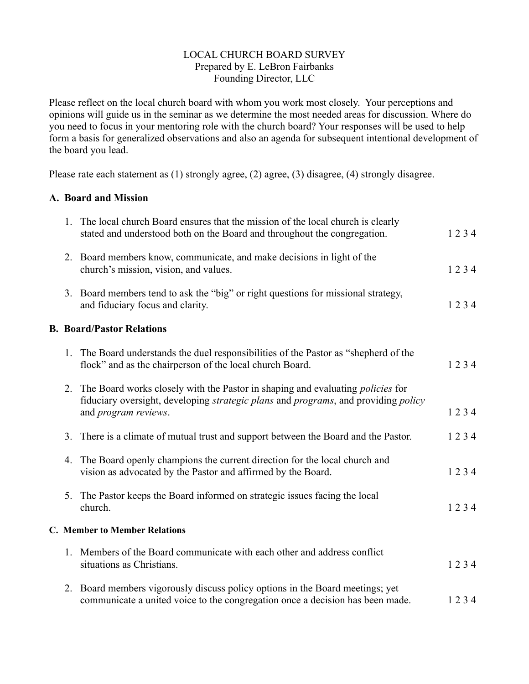## LOCAL CHURCH BOARD SURVEY Prepared by E. LeBron Fairbanks Founding Director, LLC

Please reflect on the local church board with whom you work most closely. Your perceptions and opinions will guide us in the seminar as we determine the most needed areas for discussion. Where do you need to focus in your mentoring role with the church board? Your responses will be used to help form a basis for generalized observations and also an agenda for subsequent intentional development of the board you lead.

Please rate each statement as (1) strongly agree, (2) agree, (3) disagree, (4) strongly disagree.

## **A. Board and Mission**

|  | 1. The local church Board ensures that the mission of the local church is clearly<br>stated and understood both on the Board and throughout the congregation.                                                                       | 1234 |
|--|-------------------------------------------------------------------------------------------------------------------------------------------------------------------------------------------------------------------------------------|------|
|  | 2. Board members know, communicate, and make decisions in light of the<br>church's mission, vision, and values.                                                                                                                     | 1234 |
|  | 3. Board members tend to ask the "big" or right questions for missional strategy,<br>and fiduciary focus and clarity.                                                                                                               | 1234 |
|  | <b>B. Board/Pastor Relations</b>                                                                                                                                                                                                    |      |
|  | 1. The Board understands the duel responsibilities of the Pastor as "shepherd of the<br>flock" and as the chairperson of the local church Board.                                                                                    | 1234 |
|  | 2. The Board works closely with the Pastor in shaping and evaluating <i>policies</i> for<br>fiduciary oversight, developing <i>strategic plans</i> and <i>programs</i> , and providing <i>policy</i><br>and <i>program</i> reviews. | 1234 |
|  | 3. There is a climate of mutual trust and support between the Board and the Pastor.                                                                                                                                                 | 1234 |
|  | 4. The Board openly champions the current direction for the local church and<br>vision as advocated by the Pastor and affirmed by the Board.                                                                                        | 1234 |
|  | 5. The Pastor keeps the Board informed on strategic issues facing the local<br>church.                                                                                                                                              | 1234 |
|  | <b>C. Member to Member Relations</b>                                                                                                                                                                                                |      |
|  | 1. Members of the Board communicate with each other and address conflict<br>situations as Christians.                                                                                                                               | 1234 |
|  | 2. Board members vigorously discuss policy options in the Board meetings; yet<br>communicate a united voice to the congregation once a decision has been made.                                                                      | 1234 |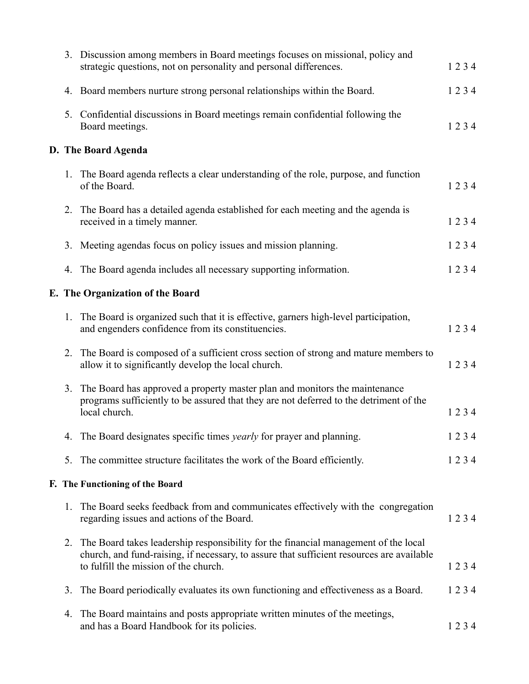|    | 3. Discussion among members in Board meetings focuses on missional, policy and<br>strategic questions, not on personality and personal differences.                                                                          | 1234 |
|----|------------------------------------------------------------------------------------------------------------------------------------------------------------------------------------------------------------------------------|------|
|    | 4. Board members nurture strong personal relationships within the Board.                                                                                                                                                     | 1234 |
|    | 5. Confidential discussions in Board meetings remain confidential following the<br>Board meetings.                                                                                                                           | 1234 |
|    | D. The Board Agenda                                                                                                                                                                                                          |      |
|    | 1. The Board agenda reflects a clear understanding of the role, purpose, and function<br>of the Board.                                                                                                                       | 1234 |
|    | 2. The Board has a detailed agenda established for each meeting and the agenda is<br>received in a timely manner.                                                                                                            | 1234 |
|    | 3. Meeting agendas focus on policy issues and mission planning.                                                                                                                                                              | 1234 |
|    | 4. The Board agenda includes all necessary supporting information.                                                                                                                                                           | 1234 |
|    | E. The Organization of the Board                                                                                                                                                                                             |      |
|    | 1. The Board is organized such that it is effective, garners high-level participation,<br>and engenders confidence from its constituencies.                                                                                  | 1234 |
| 2. | The Board is composed of a sufficient cross section of strong and mature members to<br>allow it to significantly develop the local church.                                                                                   | 1234 |
|    | 3. The Board has approved a property master plan and monitors the maintenance<br>programs sufficiently to be assured that they are not deferred to the detriment of the<br>local church.                                     | 1234 |
|    | 4. The Board designates specific times <i>yearly</i> for prayer and planning.                                                                                                                                                | 1234 |
| 5. | The committee structure facilitates the work of the Board efficiently.                                                                                                                                                       | 1234 |
|    | F. The Functioning of the Board                                                                                                                                                                                              |      |
| 1. | The Board seeks feedback from and communicates effectively with the congregation<br>regarding issues and actions of the Board.                                                                                               | 1234 |
|    | 2. The Board takes leadership responsibility for the financial management of the local<br>church, and fund-raising, if necessary, to assure that sufficient resources are available<br>to fulfill the mission of the church. | 1234 |
| 3. | The Board periodically evaluates its own functioning and effectiveness as a Board.                                                                                                                                           | 1234 |
| 4. | The Board maintains and posts appropriate written minutes of the meetings,<br>and has a Board Handbook for its policies.                                                                                                     | 1234 |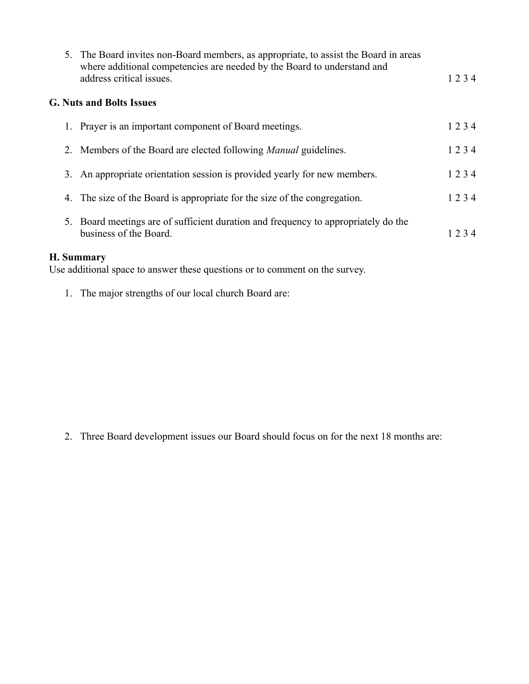|                                 | 5. The Board invites non-Board members, as appropriate, to assist the Board in areas<br>where additional competencies are needed by the Board to understand and<br>address critical issues. | 1234 |  |  |  |  |  |
|---------------------------------|---------------------------------------------------------------------------------------------------------------------------------------------------------------------------------------------|------|--|--|--|--|--|
| <b>G. Nuts and Bolts Issues</b> |                                                                                                                                                                                             |      |  |  |  |  |  |
|                                 | 1. Prayer is an important component of Board meetings.                                                                                                                                      | 1234 |  |  |  |  |  |
|                                 | 2. Members of the Board are elected following <i>Manual</i> guidelines.                                                                                                                     | 1234 |  |  |  |  |  |
|                                 | 3. An appropriate orientation session is provided yearly for new members.                                                                                                                   | 1234 |  |  |  |  |  |
|                                 | 4. The size of the Board is appropriate for the size of the congregation.                                                                                                                   | 1234 |  |  |  |  |  |
|                                 | 5. Board meetings are of sufficient duration and frequency to appropriately do the<br>business of the Board.                                                                                | 1234 |  |  |  |  |  |
| <b>H. Summary</b>               |                                                                                                                                                                                             |      |  |  |  |  |  |

Use additional space to answer these questions or to comment on the survey.

1. The major strengths of our local church Board are:

2. Three Board development issues our Board should focus on for the next 18 months are: